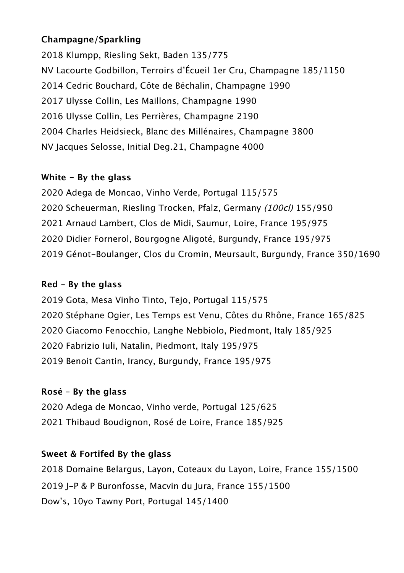### **Champagne/Sparkling**

 Klumpp, Riesling Sekt, Baden 135/775 NV Lacourte Godbillon, Terroirs d'Écueil 1er Cru, Champagne 185/1150 Cedric Bouchard, Côte de Béchalin, Champagne 1990 Ulysse Collin, Les Maillons, Champagne 1990 Ulysse Collin, Les Perrières, Champagne 2190 Charles Heidsieck, Blanc des Millénaires, Champagne 3800 NV Jacques Selosse, Initial Deg.21, Champagne 4000

#### **White - By the glass**

 Adega de Moncao, Vinho Verde, Portugal 115/575 Scheuerman, Riesling Trocken, Pfalz, Germany (100cl) 155/950 Arnaud Lambert, Clos de Midi, Saumur, Loire, France 195/975 Didier Fornerol, Bourgogne Aligoté, Burgundy, France 195/975 Génot-Boulanger, Clos du Cromin, Meursault, Burgundy, France 350/1690

### **Red – By the glass**

 Gota, Mesa Vinho Tinto, Tejo, Portugal 115/575 Stéphane Ogier, Les Temps est Venu, Côtes du Rhône, France 165/825 Giacomo Fenocchio, Langhe Nebbiolo, Piedmont, Italy 185/925 Fabrizio Iuli, Natalin, Piedmont, Italy 195/975 Benoit Cantin, Irancy, Burgundy, France 195/975

# **Rosé – By the glass**

 Adega de Moncao, Vinho verde, Portugal 125/625 Thibaud Boudignon, Rosé de Loire, France 185/925

# **Sweet & Fortifed By the glass**

 Domaine Belargus, Layon, Coteaux du Layon, Loire, France 155/1500 J-P & P Buronfosse, Macvin du Jura, France 155/1500 Dow's, 10yo Tawny Port, Portugal 145/1400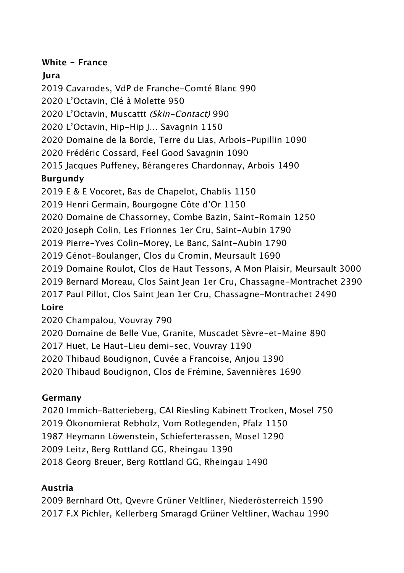### **White - France**

# **Jura**

Cavarodes, VdP de Franche-Comté Blanc 990

L'Octavin, Clé à Molette 950

L'Octavin, Muscattt (Skin-Contact) 990

L'Octavin, Hip-Hip J… Savagnin 1150

Domaine de la Borde, Terre du Lias, Arbois-Pupillin 1090

Frédéric Cossard, Feel Good Savagnin 1090

Jacques Puffeney, Bérangeres Chardonnay, Arbois 1490

# **Burgundy**

E & E Vocoret, Bas de Chapelot, Chablis 1150

Henri Germain, Bourgogne Côte d'Or 1150

Domaine de Chassorney, Combe Bazin, Saint-Romain 1250

Joseph Colin, Les Frionnes 1er Cru, Saint-Aubin 1790

Pierre-Yves Colin-Morey, Le Banc, Saint-Aubin 1790

Génot-Boulanger, Clos du Cromin, Meursault 1690

Domaine Roulot, Clos de Haut Tessons, A Mon Plaisir, Meursault 3000

Bernard Moreau, Clos Saint Jean 1er Cru, Chassagne-Montrachet 2390

Paul Pillot, Clos Saint Jean 1er Cru, Chassagne-Montrachet 2490

**Loire**

Champalou, Vouvray 790

Domaine de Belle Vue, Granite, Muscadet Sèvre-et-Maine 890

Huet, Le Haut-Lieu demi-sec, Vouvray 1190

Thibaud Boudignon, Cuvée a Francoise, Anjou 1390

Thibaud Boudignon, Clos de Frémine, Savennières 1690

# **Germany**

2020 Immich-Batterieberg, CAI Riesling Kabinett Trocken, Mosel 750

Ökonomierat Rebholz, Vom Rotlegenden, Pfalz 1150

Heymann Löwenstein, Schieferterassen, Mosel 1290

Leitz, Berg Rottland GG, Rheingau 1390

Georg Breuer, Berg Rottland GG, Rheingau 1490

# **Austria**

 Bernhard Ott, Qvevre Grüner Veltliner, Niederösterreich 1590 F.X Pichler, Kellerberg Smaragd Grüner Veltliner, Wachau 1990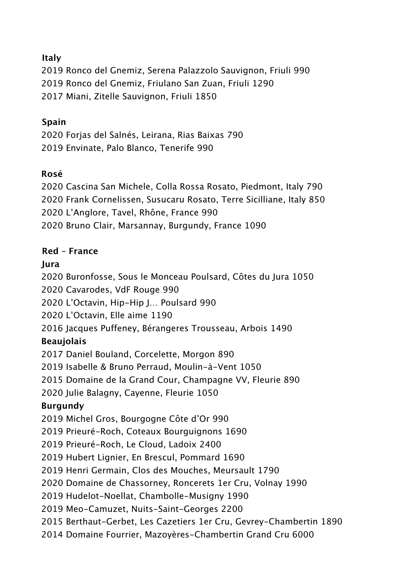### **Italy**

 Ronco del Gnemiz, Serena Palazzolo Sauvignon, Friuli 990 Ronco del Gnemiz, Friulano San Zuan, Friuli 1290 Miani, Zitelle Sauvignon, Friuli 1850

### **Spain**

 Forjas del Salnés, Leirana, Rias Baixas 790 Envinate, Palo Blanco, Tenerife 990

### **Rosé**

 Cascina San Michele, Colla Rossa Rosato, Piedmont, Italy 790 Frank Cornelissen, Susucaru Rosato, Terre Sicilliane, Italy 850 L'Anglore, Tavel, Rhône, France 990 Bruno Clair, Marsannay, Burgundy, France 1090

### **Red – France**

### **Jura**

Buronfosse, Sous le Monceau Poulsard, Côtes du Jura 1050

Cavarodes, VdF Rouge 990

L'Octavin, Hip-Hip J… Poulsard 990

L'Octavin, Elle aime 1190

Jacques Puffeney, Bérangeres Trousseau, Arbois 1490

# **Beaujolais**

Daniel Bouland, Corcelette, Morgon 890

Isabelle & Bruno Perraud, Moulin-à-Vent 1050

Domaine de la Grand Cour, Champagne VV, Fleurie 890

Julie Balagny, Cayenne, Fleurie 1050

# **Burgundy**

Michel Gros, Bourgogne Côte d'Or 990

Prieuré-Roch, Coteaux Bourguignons 1690

Prieuré-Roch, Le Cloud, Ladoix 2400

Hubert Lignier, En Brescul, Pommard 1690

Henri Germain, Clos des Mouches, Meursault 1790

Domaine de Chassorney, Roncerets 1er Cru, Volnay 1990

Hudelot-Noellat, Chambolle-Musigny 1990

Meo-Camuzet, Nuits-Saint-Georges 2200

Berthaut-Gerbet, Les Cazetiers 1er Cru, Gevrey-Chambertin 1890

Domaine Fourrier, Mazoyères-Chambertin Grand Cru 6000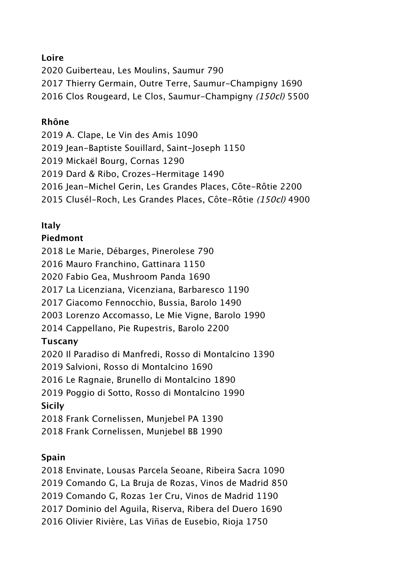#### **Loire**

 Guiberteau, Les Moulins, Saumur 790 Thierry Germain, Outre Terre, Saumur-Champigny 1690 2016 Clos Rougeard, Le Clos, Saumur-Champigny (150cl) 5500

#### **Rhône**

 A. Clape, Le Vin des Amis 1090 2019 Jean-Baptiste Souillard, Saint-Joseph 1150 Mickaël Bourg, Cornas 1290 Dard & Ribo, Crozes-Hermitage 1490 Jean-Michel Gerin, Les Grandes Places, Côte-Rôtie 2200 Clusél-Roch, Les Grandes Places, Côte-Rôtie (150cl) 4900

### **Italy**

### **Piedmont**

Le Marie, Débarges, Pinerolese 790

Mauro Franchino, Gattinara 1150

Fabio Gea, Mushroom Panda 1690

La Licenziana, Vicenziana, Barbaresco 1190

Giacomo Fennocchio, Bussia, Barolo 1490

Lorenzo Accomasso, Le Mie Vigne, Barolo 1990

Cappellano, Pie Rupestris, Barolo 2200

# **Tuscany**

Il Paradiso di Manfredi, Rosso di Montalcino 1390

Salvioni, Rosso di Montalcino 1690

Le Ragnaie, Brunello di Montalcino 1890

Poggio di Sotto, Rosso di Montalcino 1990

# **Sicily**

Frank Cornelissen, Munjebel PA 1390

Frank Cornelissen, Munjebel BB 1990

# **Spain**

 Envinate, Lousas Parcela Seoane, Ribeira Sacra 1090 Comando G, La Bruja de Rozas, Vinos de Madrid 850 Comando G, Rozas 1er Cru, Vinos de Madrid 1190 Dominio del Aguila, Riserva, Ribera del Duero 1690 Olivier Rivière, Las Viñas de Eusebio, Rioja 1750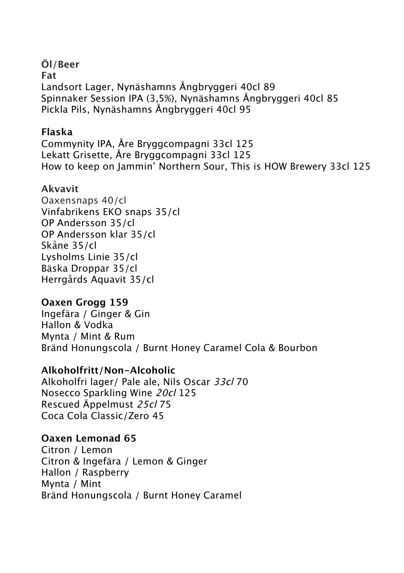**Öl/Beer Fat** Landsort Lager, Nynäshamns Ångbryggeri 40cl 89 Spinnaker Session IPA (3,5%), Nynäshamns Ångbryggeri 40cl 85 Pickla Pils, Nynäshamns Ångbryggeri 40cl 95

### **Flaska**

Commynity IPA, Åre Bryggcompagni 33cl 125 Lekatt Grisette, Åre Bryggcompagni 33cl 125 How to keep on Jammin' Northern Sour, This is HOW Brewery 33cl 125

# **Akvavit**

Oaxensnaps 40/cl Vinfabrikens EKO snaps 35/cl OP Andersson 35/cl OP Andersson klar 35/cl Skåne 35/cl Lysholms Linie 35/cl Bäska Droppar 35/cl Herrgårds Aquavit 35/cl

# **Oaxen Grogg 159**

Ingefära / Ginger & Gin Hallon & Vodka Mynta / Mint & Rum Bränd Honungscola / Burnt Honey Caramel Cola & Bourbon

# **Alkoholfritt/Non-Alcoholic**

Alkoholfri lager/ Pale ale, Nils Oscar 33cl 70 Nosecco Sparkling Wine 20cl 125 Rescued Äppelmust 25cl 75 Coca Cola Classic/Zero 45

# **Oaxen Lemonad 65**

Citron / Lemon Citron & Ingefära / Lemon & Ginger Hallon / Raspberry Mynta / Mint Bränd Honungscola / Burnt Honey Caramel